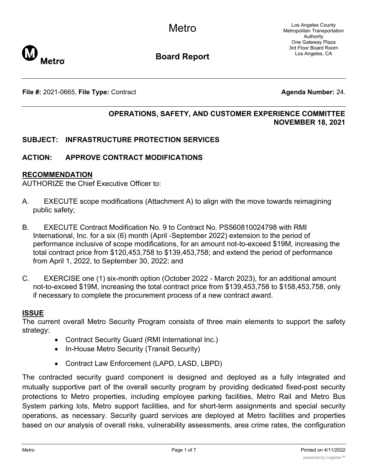

**Board Report**

**File #:** 2021-0665, File Type: Contract **Agents Agenda Number:** 24.

# **OPERATIONS, SAFETY, AND CUSTOMER EXPERIENCE COMMITTEE NOVEMBER 18, 2021**

## **SUBJECT: INFRASTRUCTURE PROTECTION SERVICES**

## **ACTION: APPROVE CONTRACT MODIFICATIONS**

#### **RECOMMENDATION**

AUTHORIZE the Chief Executive Officer to:

- A. EXECUTE scope modifications (Attachment A) to align with the move towards reimagining public safety;
- B. EXECUTE Contract Modification No. 9 to Contract No. PS560810024798 with RMI International, Inc. for a six (6) month (April -September 2022) extension to the period of performance inclusive of scope modifications, for an amount not-to-exceed \$19M, increasing the total contract price from \$120,453,758 to \$139,453,758; and extend the period of performance from April 1, 2022, to September 30, 2022; and
- C. EXERCISE one (1) six-month option (October 2022 March 2023), for an additional amount not-to-exceed \$19M, increasing the total contract price from \$139,453,758 to \$158,453,758, only if necessary to complete the procurement process of a new contract award.

#### **ISSUE**

The current overall Metro Security Program consists of three main elements to support the safety strategy:

- Contract Security Guard (RMI International Inc.)
- · In-House Metro Security (Transit Security)
- · Contract Law Enforcement (LAPD, LASD, LBPD)

The contracted security guard component is designed and deployed as a fully integrated and mutually supportive part of the overall security program by providing dedicated fixed-post security protections to Metro properties, including employee parking facilities, Metro Rail and Metro Bus System parking lots, Metro support facilities, and for short-term assignments and special security operations, as necessary. Security guard services are deployed at Metro facilities and properties based on our analysis of overall risks, vulnerability assessments, area crime rates, the configuration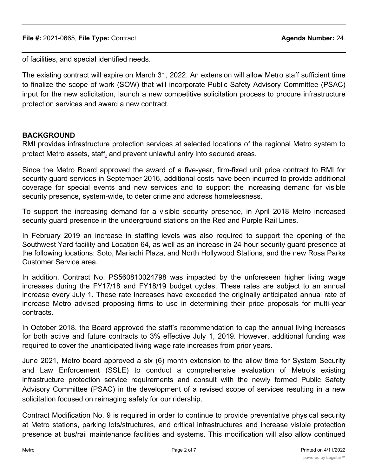of facilities, and special identified needs.

The existing contract will expire on March 31, 2022. An extension will allow Metro staff sufficient time to finalize the scope of work (SOW) that will incorporate Public Safety Advisory Committee (PSAC) input for the new solicitation, launch a new competitive solicitation process to procure infrastructure protection services and award a new contract.

## **BACKGROUND**

RMI provides infrastructure protection services at selected locations of the regional Metro system to protect Metro assets, staff, and prevent unlawful entry into secured areas.

Since the Metro Board approved the award of a five-year, firm-fixed unit price contract to RMI for security guard services in September 2016, additional costs have been incurred to provide additional coverage for special events and new services and to support the increasing demand for visible security presence, system-wide, to deter crime and address homelessness.

To support the increasing demand for a visible security presence, in April 2018 Metro increased security guard presence in the underground stations on the Red and Purple Rail Lines.

In February 2019 an increase in staffing levels was also required to support the opening of the Southwest Yard facility and Location 64, as well as an increase in 24-hour security guard presence at the following locations: Soto, Mariachi Plaza, and North Hollywood Stations, and the new Rosa Parks Customer Service area.

In addition, Contract No. PS560810024798 was impacted by the unforeseen higher living wage increases during the FY17/18 and FY18/19 budget cycles. These rates are subject to an annual increase every July 1. These rate increases have exceeded the originally anticipated annual rate of increase Metro advised proposing firms to use in determining their price proposals for multi-year contracts.

In October 2018, the Board approved the staff's recommendation to cap the annual living increases for both active and future contracts to 3% effective July 1, 2019. However, additional funding was required to cover the unanticipated living wage rate increases from prior years.

June 2021, Metro board approved a six (6) month extension to the allow time for System Security and Law Enforcement (SSLE) to conduct a comprehensive evaluation of Metro's existing infrastructure protection service requirements and consult with the newly formed Public Safety Advisory Committee (PSAC) in the development of a revised scope of services resulting in a new solicitation focused on reimaging safety for our ridership.

Contract Modification No. 9 is required in order to continue to provide preventative physical security at Metro stations, parking lots/structures, and critical infrastructures and increase visible protection presence at bus/rail maintenance facilities and systems. This modification will also allow continued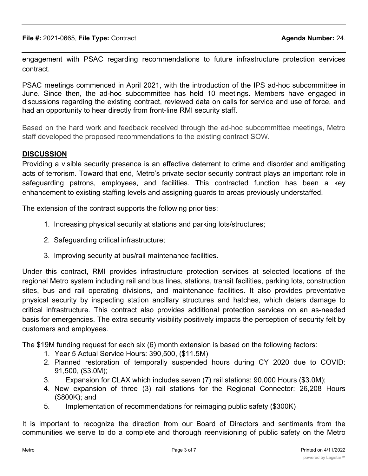engagement with PSAC regarding recommendations to future infrastructure protection services contract.

PSAC meetings commenced in April 2021, with the introduction of the IPS ad-hoc subcommittee in June. Since then, the ad-hoc subcommittee has held 10 meetings. Members have engaged in discussions regarding the existing contract, reviewed data on calls for service and use of force, and had an opportunity to hear directly from front-line RMI security staff.

Based on the hard work and feedback received through the ad-hoc subcommittee meetings, Metro staff developed the proposed recommendations to the existing contract SOW.

# **DISCUSSION**

Providing a visible security presence is an effective deterrent to crime and disorder and amitigating acts of terrorism. Toward that end, Metro's private sector security contract plays an important role in safeguarding patrons, employees, and facilities. This contracted function has been a key enhancement to existing staffing levels and assigning guards to areas previously understaffed.

The extension of the contract supports the following priorities:

- 1. Increasing physical security at stations and parking lots/structures;
- 2. Safeguarding critical infrastructure;
- 3. Improving security at bus/rail maintenance facilities.

Under this contract, RMI provides infrastructure protection services at selected locations of the regional Metro system including rail and bus lines, stations, transit facilities, parking lots, construction sites, bus and rail operating divisions, and maintenance facilities. It also provides preventative physical security by inspecting station ancillary structures and hatches, which deters damage to critical infrastructure. This contract also provides additional protection services on an as-needed basis for emergencies. The extra security visibility positively impacts the perception of security felt by customers and employees.

The \$19M funding request for each six (6) month extension is based on the following factors:

- 1. Year 5 Actual Service Hours: 390,500, (\$11.5M)
- 2. Planned restoration of temporally suspended hours during CY 2020 due to COVID: 91,500, (\$3.0M);
- 3. Expansion for CLAX which includes seven (7) rail stations: 90,000 Hours (\$3.0M);
- 4. New expansion of three (3) rail stations for the Regional Connector: 26,208 Hours (\$800K); and
- 5. Implementation of recommendations for reimaging public safety (\$300K)

It is important to recognize the direction from our Board of Directors and sentiments from the communities we serve to do a complete and thorough reenvisioning of public safety on the Metro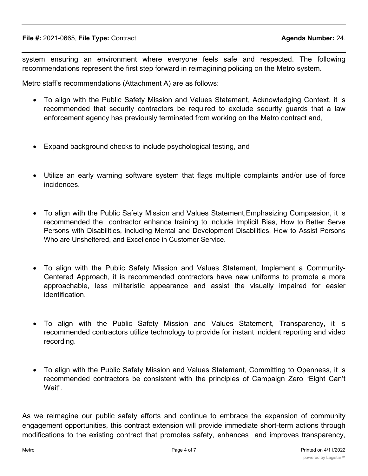system ensuring an environment where everyone feels safe and respected. The following recommendations represent the first step forward in reimagining policing on the Metro system.

Metro staff's recommendations (Attachment A) are as follows:

- · To align with the Public Safety Mission and Values Statement, Acknowledging Context, it is recommended that security contractors be required to exclude security guards that a law enforcement agency has previously terminated from working on the Metro contract and,
- Expand background checks to include psychological testing, and
- · Utilize an early warning software system that flags multiple complaints and/or use of force incidences.
- · To align with the Public Safety Mission and Values Statement,Emphasizing Compassion, it is recommended the contractor enhance training to include Implicit Bias, How to Better Serve Persons with Disabilities, including Mental and Development Disabilities, How to Assist Persons Who are Unsheltered, and Excellence in Customer Service.
- · To align with the Public Safety Mission and Values Statement, Implement a Community-Centered Approach, it is recommended contractors have new uniforms to promote a more approachable, less militaristic appearance and assist the visually impaired for easier identification.
- · To align with the Public Safety Mission and Values Statement, Transparency, it is recommended contractors utilize technology to provide for instant incident reporting and video recording.
- · To align with the Public Safety Mission and Values Statement, Committing to Openness, it is recommended contractors be consistent with the principles of Campaign Zero "Eight Can't Wait".

As we reimagine our public safety efforts and continue to embrace the expansion of community engagement opportunities, this contract extension will provide immediate short-term actions through modifications to the existing contract that promotes safety, enhances and improves transparency,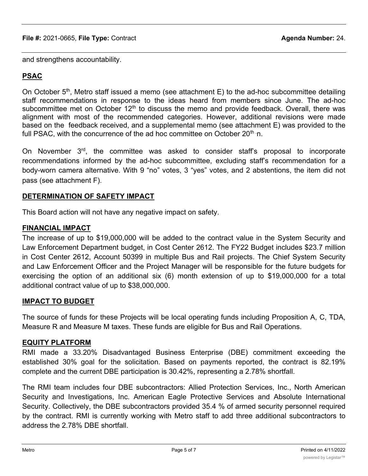and strengthens accountability.

# **PSAC**

On October  $5<sup>th</sup>$ , Metro staff issued a memo (see attachment E) to the ad-hoc subcommittee detailing staff recommendations in response to the ideas heard from members since June. The ad-hoc subcommittee met on October  $12<sup>th</sup>$  to discuss the memo and provide feedback. Overall, there was alignment with most of the recommended categories. However, additional revisions were made based on the feedback received, and a supplemental memo (see attachment E) was provided to the full PSAC, with the concurrence of the ad hoc committee on October 20<sup>th</sup> n.

On November 3rd, the committee was asked to consider staff's proposal to incorporate recommendations informed by the ad-hoc subcommittee, excluding staff's recommendation for a body-worn camera alternative. With 9 "no" votes, 3 "yes" votes, and 2 abstentions, the item did not pass (see attachment F).

## **DETERMINATION OF SAFETY IMPACT**

This Board action will not have any negative impact on safety.

## **FINANCIAL IMPACT**

The increase of up to \$19,000,000 will be added to the contract value in the System Security and Law Enforcement Department budget, in Cost Center 2612. The FY22 Budget includes \$23.7 million in Cost Center 2612, Account 50399 in multiple Bus and Rail projects. The Chief System Security and Law Enforcement Officer and the Project Manager will be responsible for the future budgets for exercising the option of an additional six (6) month extension of up to \$19,000,000 for a total additional contract value of up to \$38,000,000.

# **IMPACT TO BUDGET**

The source of funds for these Projects will be local operating funds including Proposition A, C, TDA, Measure R and Measure M taxes. These funds are eligible for Bus and Rail Operations.

### **EQUITY PLATFORM**

RMI made a 33.20% Disadvantaged Business Enterprise (DBE) commitment exceeding the established 30% goal for the solicitation. Based on payments reported, the contract is 82.19% complete and the current DBE participation is 30.42%, representing a 2.78% shortfall.

The RMI team includes four DBE subcontractors: Allied Protection Services, Inc., North American Security and Investigations, Inc. American Eagle Protective Services and Absolute International Security. Collectively, the DBE subcontractors provided 35.4 % of armed security personnel required by the contract. RMI is currently working with Metro staff to add three additional subcontractors to address the 2.78% DBE shortfall.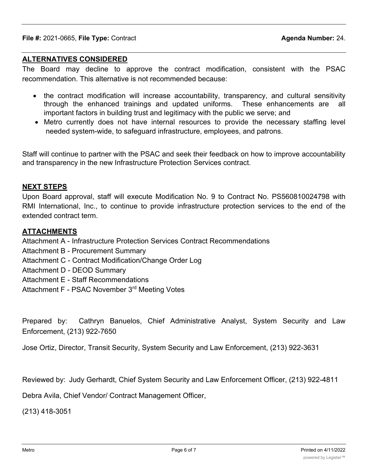#### **ALTERNATIVES CONSIDERED**

The Board may decline to approve the contract modification, consistent with the PSAC recommendation. This alternative is not recommended because:

- the contract modification will increase accountability, transparency, and cultural sensitivity through the enhanced trainings and updated uniforms. These enhancements are all important factors in building trust and legitimacy with the public we serve; and
- · Metro currently does not have internal resources to provide the necessary staffing level needed system-wide, to safeguard infrastructure, employees, and patrons.

Staff will continue to partner with the PSAC and seek their feedback on how to improve accountability and transparency in the new Infrastructure Protection Services contract.

#### **NEXT STEPS**

Upon Board approval, staff will execute Modification No. 9 to Contract No. PS560810024798 with RMI International, Inc., to continue to provide infrastructure protection services to the end of the extended contract term.

#### **ATTACHMENTS**

Attachment A - Infrastructure Protection Services Contract Recommendations

- Attachment B Procurement Summary
- Attachment C Contract Modification/Change Order Log
- Attachment D DEOD Summary
- Attachment E Staff Recommendations
- Attachment F PSAC November 3rd Meeting Votes

Prepared by: Cathryn Banuelos, Chief Administrative Analyst, System Security and Law Enforcement, (213) 922-7650

Jose Ortiz, Director, Transit Security, System Security and Law Enforcement, (213) 922-3631

Reviewed by: Judy Gerhardt, Chief System Security and Law Enforcement Officer, (213) 922-4811

Debra Avila, Chief Vendor/ Contract Management Officer,

(213) 418-3051